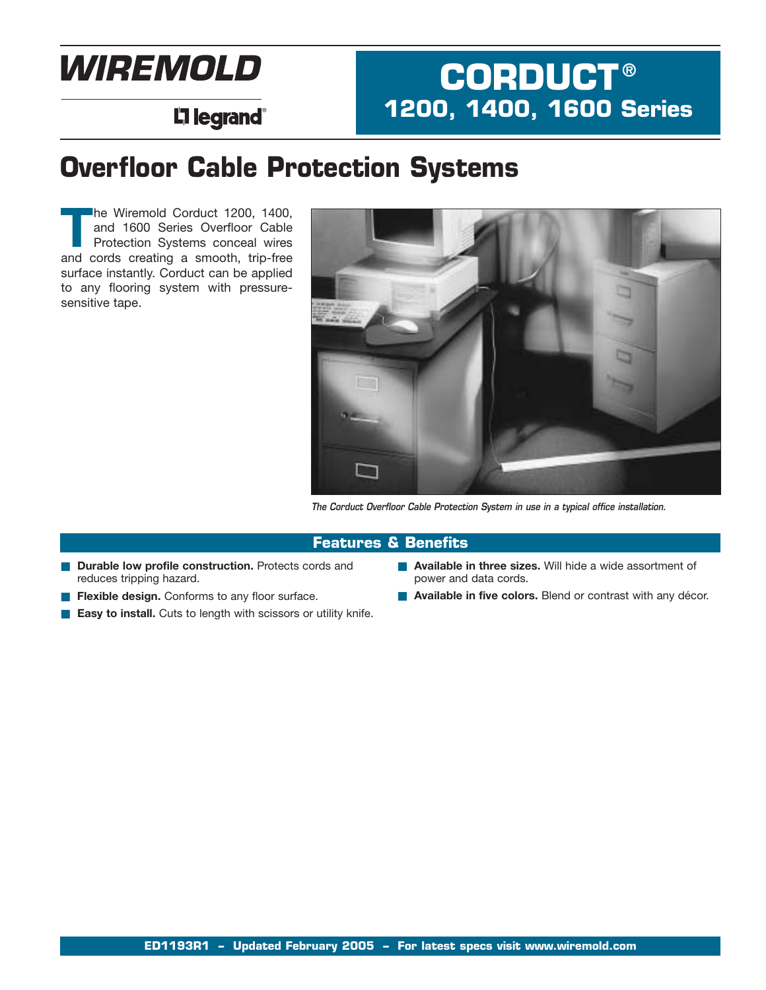# **WIREMOLD**

## **L'i legrand**®

### **Overfloor Cable Protection Systems**

**T**he Wiremold Corduct 1200, 1400, and 1600 Series Overfloor Cable Protection Systems conceal wires and cords creating a smooth, trip-free surface instantly. Corduct can be applied to any flooring system with pressuresensitive tape.



**CORDUCT ®**

**1200, 1400, 1600 Series**

*The Corduct Overfloor Cable Protection System in use in a typical office installation.*

#### **Features & Benefits**

- **Durable low profile construction.** Protects cords and reduces tripping hazard.
- **Flexible design.** Conforms to any floor surface.
- **Easy to install.** Cuts to length with scissors or utility knife.
- **Available in three sizes.** Will hide a wide assortment of power and data cords.
- **Available in five colors.** Blend or contrast with any décor.